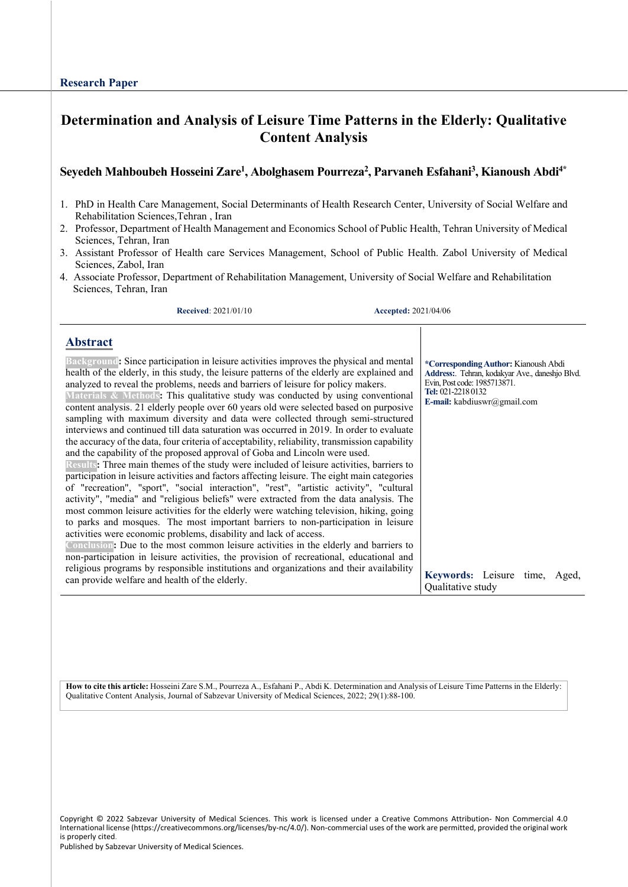# **Determination and Analysis of Leisure Time Patterns in the Elderly: Qualitative Content Analysis**

# **Seyedeh Mahboubeh Hosseini Zare<sup>1</sup> , Abolghasem Pourreza<sup>2</sup> , Parvaneh Esfahani<sup>3</sup> , Kianoush Abdi4\***

- 1. PhD in Health Care Management, Social Determinants of Health Research Center, University of Social Welfare and Rehabilitation Sciences,Tehran , Iran
- 2. Professor, Department of Health Management and Economics School of Public Health, Tehran University of Medical Sciences, Tehran, Iran
- 3. Assistant Professor of Health care Services Management, School of Public Health. Zabol University of Medical Sciences, Zabol, Iran
- 4. Associate Professor, Department of Rehabilitation Management, University of Social Welfare and Rehabilitation Sciences, Tehran, Iran

**Received**: 2021/01/10 **Accepted:** 2021/04/06

### **Abstract**

| Background: Since participation in leisure activities improves the physical and mental<br>health of the elderly, in this study, the leisure patterns of the elderly are explained and<br>analyzed to reveal the problems, needs and barriers of leisure for policy makers.<br>Materials & Methods: This qualitative study was conducted by using conventional<br>content analysis. 21 elderly people over 60 years old were selected based on purposive<br>sampling with maximum diversity and data were collected through semi-structured<br>interviews and continued till data saturation was occurred in 2019. In order to evaluate<br>the accuracy of the data, four criteria of acceptability, reliability, transmission capability<br>and the capability of the proposed approval of Goba and Lincoln were used.<br>Results: Three main themes of the study were included of leisure activities, barriers to<br>participation in leisure activities and factors affecting leisure. The eight main categories<br>of "recreation", "sport", "social interaction", "rest", "artistic activity", "cultural<br>activity", "media" and "religious beliefs" were extracted from the data analysis. The<br>most common leisure activities for the elderly were watching television, hiking, going<br>to parks and mosques. The most important barriers to non-participation in leisure<br>activities were economic problems, disability and lack of access.<br>Conclusion: Due to the most common leisure activities in the elderly and barriers to<br>non-participation in leisure activities, the provision of recreational, educational and<br>religious programs by responsible institutions and organizations and their availability | *Corresponding Author: Kianoush Abdi<br>Address:. Tehran, kodakyar Ave., daneshio Blvd.<br>Evin, Post code: 1985713871.<br>Tel: 021-2218 0132<br>E-mail: kabdiuswr@gmail.com |
|-----------------------------------------------------------------------------------------------------------------------------------------------------------------------------------------------------------------------------------------------------------------------------------------------------------------------------------------------------------------------------------------------------------------------------------------------------------------------------------------------------------------------------------------------------------------------------------------------------------------------------------------------------------------------------------------------------------------------------------------------------------------------------------------------------------------------------------------------------------------------------------------------------------------------------------------------------------------------------------------------------------------------------------------------------------------------------------------------------------------------------------------------------------------------------------------------------------------------------------------------------------------------------------------------------------------------------------------------------------------------------------------------------------------------------------------------------------------------------------------------------------------------------------------------------------------------------------------------------------------------------------------------------------------------------------------------------------------------------------------|------------------------------------------------------------------------------------------------------------------------------------------------------------------------------|
| can provide welfare and health of the elderly.                                                                                                                                                                                                                                                                                                                                                                                                                                                                                                                                                                                                                                                                                                                                                                                                                                                                                                                                                                                                                                                                                                                                                                                                                                                                                                                                                                                                                                                                                                                                                                                                                                                                                          | Keywords: Leisure time, Aged,<br>Qualitative study                                                                                                                           |

**How to cite this article:** Hosseini Zare S.M., Pourreza A., Esfahani P., Abdi K. Determination and Analysis of Leisure Time Patterns in the Elderly: Qualitative Content Analysis, Journal of Sabzevar University of Medical Sciences, 2022; 29(1):88-100.

Copyright © 2022 Sabzevar University of Medical Sciences. This work is licensed under a Creative Commons Attribution- Non Commercial 4.0 International license (https://creativecommons.org/licenses/by-nc/4.0/). Non-commercial uses of the work are permitted, provided the original work is properly cited.

Published by Sabzevar University of Medical Sciences.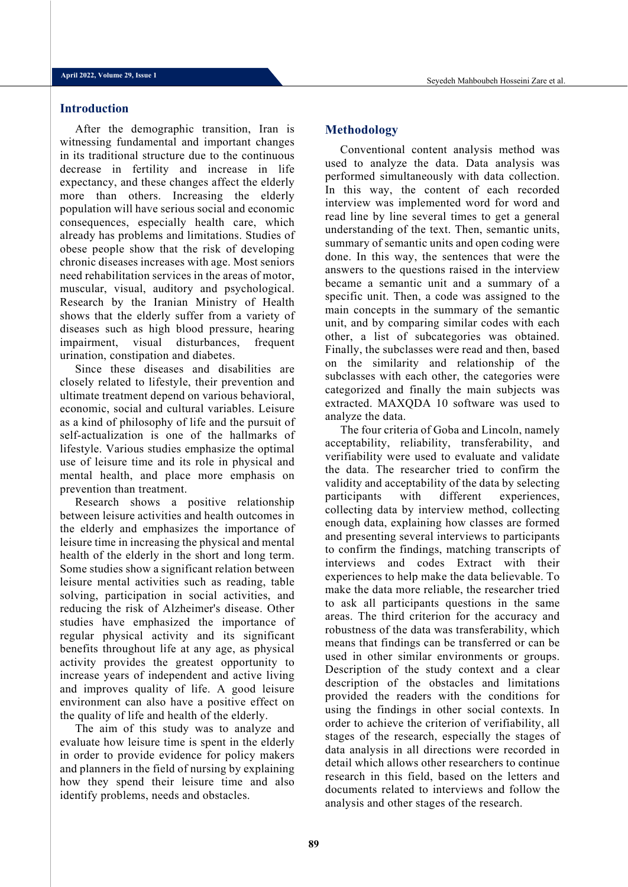### **Introduction**

After the demographic transition, Iran is witnessing fundamental and important changes in its traditional structure due to the continuous decrease in fertility and increase in life expectancy, and these changes affect the elderly more than others. Increasing the elderly population will have serious social and economic consequences, especially health care, which already has problems and limitations. Studies of obese people show that the risk of developing chronic diseases increases with age. Most seniors need rehabilitation services in the areas of motor, muscular, visual, auditory and psychological. Research by the Iranian Ministry of Health shows that the elderly suffer from a variety of diseases such as high blood pressure, hearing impairment, visual disturbances, frequent urination, constipation and diabetes.

Since these diseases and disabilities are closely related to lifestyle, their prevention and ultimate treatment depend on various behavioral, economic, social and cultural variables. Leisure as a kind of philosophy of life and the pursuit of self-actualization is one of the hallmarks of lifestyle. Various studies emphasize the optimal use of leisure time and its role in physical and mental health, and place more emphasis on prevention than treatment.

Research shows a positive relationship between leisure activities and health outcomes in the elderly and emphasizes the importance of leisure time in increasing the physical and mental health of the elderly in the short and long term. Some studies show a significant relation between leisure mental activities such as reading, table solving, participation in social activities, and reducing the risk of Alzheimer's disease. Other studies have emphasized the importance of regular physical activity and its significant benefits throughout life at any age, as physical activity provides the greatest opportunity to increase years of independent and active living and improves quality of life. A good leisure environment can also have a positive effect on the quality of life and health of the elderly.

The aim of this study was to analyze and evaluate how leisure time is spent in the elderly in order to provide evidence for policy makers and planners in the field of nursing by explaining how they spend their leisure time and also identify problems, needs and obstacles.

### **Methodology**

Conventional content analysis method was used to analyze the data. Data analysis was performed simultaneously with data collection. In this way, the content of each recorded interview was implemented word for word and read line by line several times to get a general understanding of the text. Then, semantic units, summary of semantic units and open coding were done. In this way, the sentences that were the answers to the questions raised in the interview became a semantic unit and a summary of a specific unit. Then, a code was assigned to the main concepts in the summary of the semantic unit, and by comparing similar codes with each other, a list of subcategories was obtained. Finally, the subclasses were read and then, based on the similarity and relationship of the subclasses with each other, the categories were categorized and finally the main subjects was extracted. MAXQDA 10 software was used to analyze the data.

The four criteria of Goba and Lincoln, namely acceptability, reliability, transferability, and verifiability were used to evaluate and validate the data. The researcher tried to confirm the validity and acceptability of the data by selecting participants with different experiences, collecting data by interview method, collecting enough data, explaining how classes are formed and presenting several interviews to participants to confirm the findings, matching transcripts of interviews and codes Extract with their experiences to help make the data believable. To make the data more reliable, the researcher tried to ask all participants questions in the same areas. The third criterion for the accuracy and robustness of the data was transferability, which means that findings can be transferred or can be used in other similar environments or groups. Description of the study context and a clear description of the obstacles and limitations provided the readers with the conditions for using the findings in other social contexts. In order to achieve the criterion of verifiability, all stages of the research, especially the stages of data analysis in all directions were recorded in detail which allows other researchers to continue research in this field, based on the letters and documents related to interviews and follow the analysis and other stages of the research.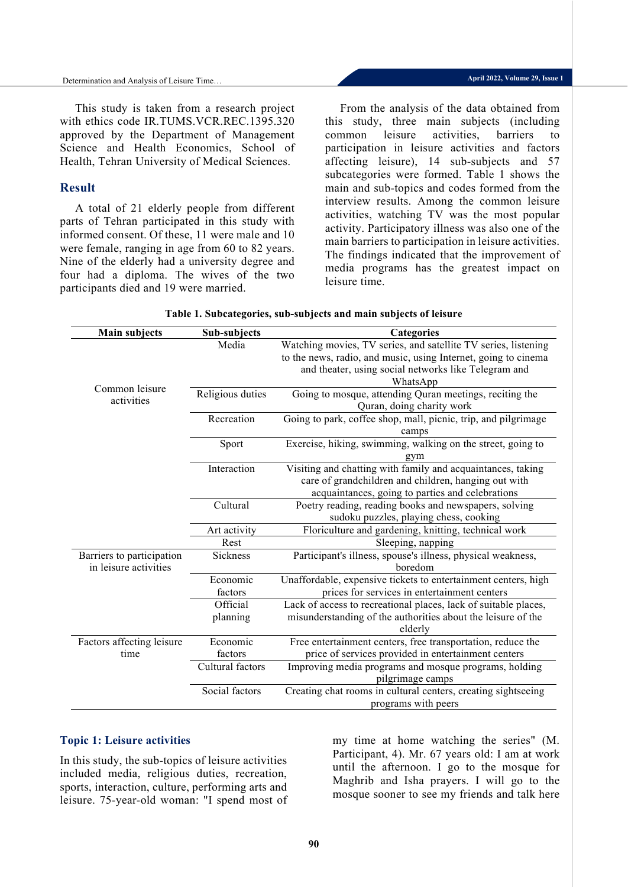This study is taken from a research project with ethics code IR.TUMS.VCR.REC.1395.320 approved by the Department of Management Science and Health Economics, School of Health, Tehran University of Medical Sciences.

### **Result**

A total of 21 elderly people from different parts of Tehran participated in this study with informed consent. Of these, 11 were male and 10 were female, ranging in age from 60 to 82 years. Nine of the elderly had a university degree and four had a diploma. The wives of the two participants died and 19 were married.

From the analysis of the data obtained from this study, three main subjects (including common leisure activities, barriers to participation in leisure activities and factors affecting leisure), 14 sub-subjects and 57 subcategories were formed. Table 1 shows the main and sub-topics and codes formed from the interview results. Among the common leisure activities, watching TV was the most popular activity. Participatory illness was also one of the main barriers to participation in leisure activities. The findings indicated that the improvement of media programs has the greatest impact on leisure time.

| <b>Main subjects</b>      | Sub-subjects     | Categories                                                      |
|---------------------------|------------------|-----------------------------------------------------------------|
|                           | Media            | Watching movies, TV series, and satellite TV series, listening  |
|                           |                  | to the news, radio, and music, using Internet, going to cinema  |
|                           |                  | and theater, using social networks like Telegram and            |
|                           |                  | WhatsApp                                                        |
| Common leisure            | Religious duties | Going to mosque, attending Quran meetings, reciting the         |
| activities                |                  | Quran, doing charity work                                       |
|                           | Recreation       | Going to park, coffee shop, mall, picnic, trip, and pilgrimage  |
|                           |                  | camps                                                           |
|                           | Sport            | Exercise, hiking, swimming, walking on the street, going to     |
|                           |                  | gym                                                             |
|                           | Interaction      | Visiting and chatting with family and acquaintances, taking     |
|                           |                  | care of grandchildren and children, hanging out with            |
|                           |                  | acquaintances, going to parties and celebrations                |
|                           | Cultural         | Poetry reading, reading books and newspapers, solving           |
|                           |                  | sudoku puzzles, playing chess, cooking                          |
|                           | Art activity     | Floriculture and gardening, knitting, technical work            |
|                           | Rest             | Sleeping, napping                                               |
| Barriers to participation | Sickness         | Participant's illness, spouse's illness, physical weakness,     |
| in leisure activities     |                  | boredom                                                         |
|                           | Economic         | Unaffordable, expensive tickets to entertainment centers, high  |
|                           | factors          | prices for services in entertainment centers                    |
|                           | Official         | Lack of access to recreational places, lack of suitable places, |
|                           | planning         | misunderstanding of the authorities about the leisure of the    |
|                           |                  | elderly                                                         |
| Factors affecting leisure | Economic         | Free entertainment centers, free transportation, reduce the     |
| time                      | factors          | price of services provided in entertainment centers             |
|                           | Cultural factors | Improving media programs and mosque programs, holding           |
|                           |                  | pilgrimage camps                                                |
|                           | Social factors   | Creating chat rooms in cultural centers, creating sightseeing   |
|                           |                  | programs with peers                                             |

### **Table 1. Subcategories, sub-subjects and main subjects of leisure**

### **Topic 1: Leisure activities**

In this study, the sub-topics of leisure activities included media, religious duties, recreation, sports, interaction, culture, performing arts and leisure. 75-year-old woman: "I spend most of my time at home watching the series" (M. Participant, 4). Mr. 67 years old: I am at work until the afternoon. I go to the mosque for Maghrib and Isha prayers. I will go to the mosque sooner to see my friends and talk here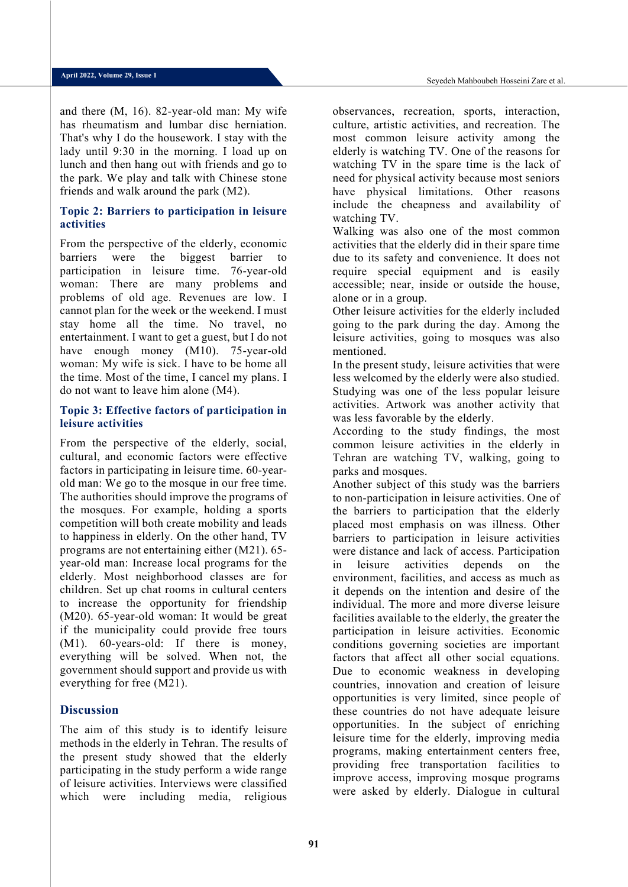and there (M, 16). 82-year-old man: My wife has rheumatism and lumbar disc herniation. That's why I do the housework. I stay with the lady until 9:30 in the morning. I load up on lunch and then hang out with friends and go to the park. We play and talk with Chinese stone friends and walk around the park (M2).

## **Topic 2: Barriers to participation in leisure activities**

From the perspective of the elderly, economic barriers were the biggest barrier to participation in leisure time. 76-year-old woman: There are many problems and problems of old age. Revenues are low. I cannot plan for the week or the weekend. I must stay home all the time. No travel, no entertainment. I want to get a guest, but I do not have enough money (M10). 75-year-old woman: My wife is sick. I have to be home all the time. Most of the time, I cancel my plans. I do not want to leave him alone (M4).

## **Topic 3: Effective factors of participation in leisure activities**

From the perspective of the elderly, social, cultural, and economic factors were effective factors in participating in leisure time. 60-yearold man: We go to the mosque in our free time. The authorities should improve the programs of the mosques. For example, holding a sports competition will both create mobility and leads to happiness in elderly. On the other hand, TV programs are not entertaining either (M21). 65 year-old man: Increase local programs for the elderly. Most neighborhood classes are for children. Set up chat rooms in cultural centers to increase the opportunity for friendship (M20). 65-year-old woman: It would be great if the municipality could provide free tours (M1). 60-years-old: If there is money, everything will be solved. When not, the government should support and provide us with everything for free (M21).

## **Discussion**

The aim of this study is to identify leisure methods in the elderly in Tehran. The results of the present study showed that the elderly participating in the study perform a wide range of leisure activities. Interviews were classified which were including media, religious

observances, recreation, sports, interaction, culture, artistic activities, and recreation. The most common leisure activity among the elderly is watching TV. One of the reasons for watching TV in the spare time is the lack of need for physical activity because most seniors have physical limitations. Other reasons include the cheapness and availability of watching TV.

Walking was also one of the most common activities that the elderly did in their spare time due to its safety and convenience. It does not require special equipment and is easily accessible; near, inside or outside the house, alone or in a group.

Other leisure activities for the elderly included going to the park during the day. Among the leisure activities, going to mosques was also mentioned.

In the present study, leisure activities that were less welcomed by the elderly were also studied. Studying was one of the less popular leisure activities. Artwork was another activity that was less favorable by the elderly.

According to the study findings, the most common leisure activities in the elderly in Tehran are watching TV, walking, going to parks and mosques.

Another subject of this study was the barriers to non-participation in leisure activities. One of the barriers to participation that the elderly placed most emphasis on was illness. Other barriers to participation in leisure activities were distance and lack of access. Participation in leisure activities depends on the environment, facilities, and access as much as it depends on the intention and desire of the individual. The more and more diverse leisure facilities available to the elderly, the greater the participation in leisure activities. Economic conditions governing societies are important factors that affect all other social equations. Due to economic weakness in developing countries, innovation and creation of leisure opportunities is very limited, since people of these countries do not have adequate leisure opportunities. In the subject of enriching leisure time for the elderly, improving media programs, making entertainment centers free, providing free transportation facilities to improve access, improving mosque programs were asked by elderly. Dialogue in cultural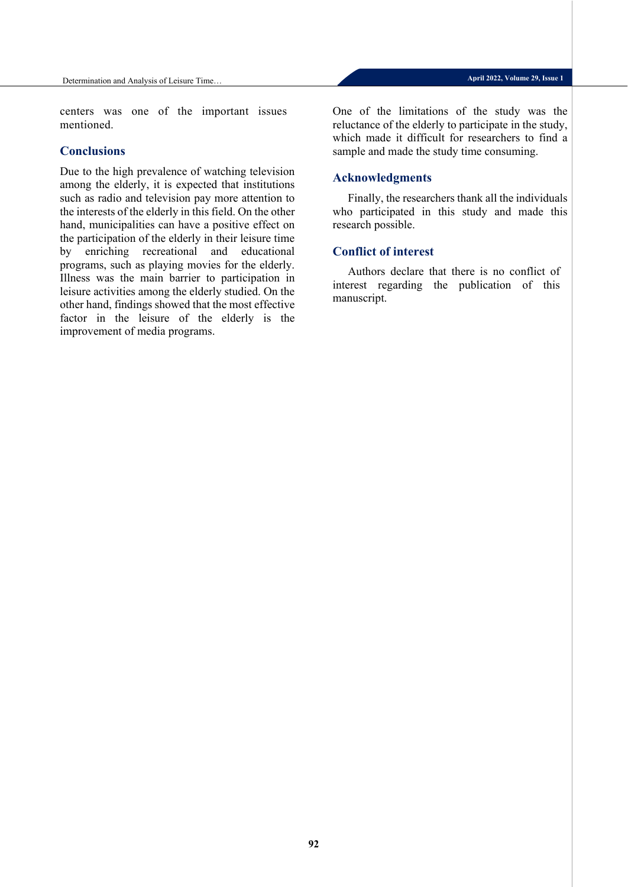centers was one of the important issues mentioned.

## **Conclusions**

Due to the high prevalence of watching television among the elderly, it is expected that institutions such as radio and television pay more attention to the interests of the elderly in this field. On the other hand, municipalities can have a positive effect on the participation of the elderly in their leisure time by enriching recreational and educational programs, such as playing movies for the elderly. Illness was the main barrier to participation in leisure activities among the elderly studied. On the other hand, findings showed that the most effective factor in the leisure of the elderly is the improvement of media programs.

One of the limitations of the study was the reluctance of the elderly to participate in the study, which made it difficult for researchers to find a sample and made the study time consuming.

# **Acknowledgments**

Finally, the researchers thank all the individuals who participated in this study and made this research possible.

## **Conflict of interest**

Authors declare that there is no conflict of interest regarding the publication of this manuscript.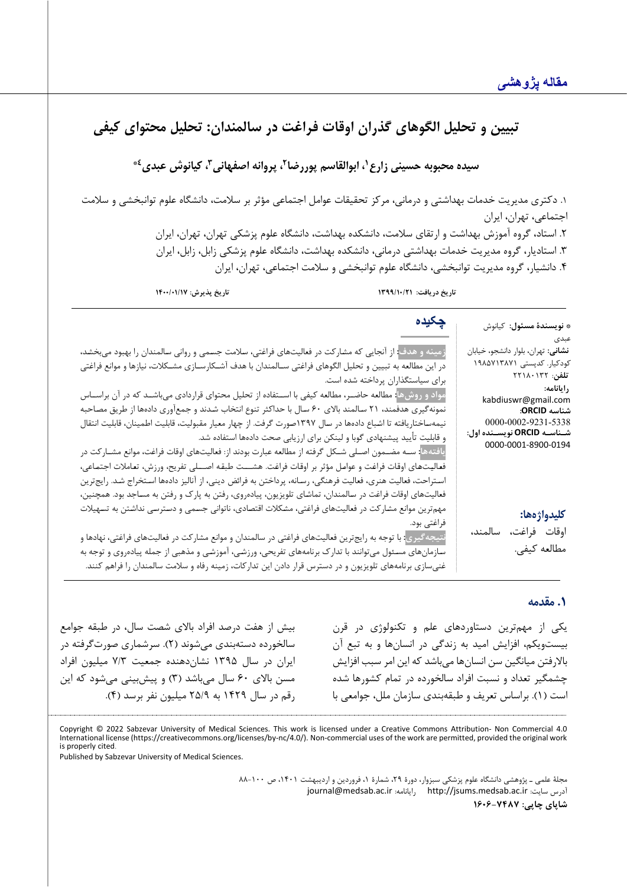# تبيين و تحليل الگوهاي گذران اوقات فراغت در سالمندان: تحليل محتواي كيفي

سیده محبوبه حسینی زارع<sup>۱</sup>، ابوالقاسم پوررضا<sup>۲</sup>، پروانه اصفهانی<sup>۳</sup>، کیانوش عبدی<sup>٤</sup>

.1 دکتري مدیریت خدمات بهداشتی و درمانی، مرکز تحقیقات عوامل اجتماعی مؤثر بر سلامت، دانشگاه علوم توانبخشی و سلامت اجتماعی، تهران، ایران .2 استاد، گروه آموزش بهداشت و ارتقاي سلامت، دانشکده بهداشت، دانشگاه علوم پزشکی تهران، تهران، ایران .3 استادیار، گروه مدیریت خدمات بهداشتی درمانی، دانشکده بهداشت، دانشگا ه علوم پزشکی زابل، زابل، ایران .4 دانشیار، گروه مدیریت توانبخشی، دانشگاه علوم توانبخشی و سلامت اجتماعی، تهران، ایران

**تاریخ دریافت: /10/21 1399 تاریخ پذیرش: 1400/01/17**

**چکیده**

| <b>* نويسندهٔ مسئول</b> : کیانوش           | چچە                                                                                                                             |
|--------------------------------------------|---------------------------------------------------------------------------------------------------------------------------------|
| عبدى                                       |                                                                                                                                 |
| <b>نشانی</b> : تهران، بلوار دانشجو، خیابان | زمینه و هدف <mark>: از آنجایی که مشارکت در فعالیتهای فراغتی، سلامت جسمی و روانی سالمندان را بهبود میبخشد،</mark>                |
| کودکیار. کدپستی ۱۹۸۵۷۱۳۸۷۱                 | در این مطالعه به تبیین و تحلیل الگوهای فراغتی سـالمندان با هدف آشـكارسـازی مشـكلات، نیازها و موانع فراغتی                       |
| تلفن: ۲۲۱۸۰۱۳۲                             | برای سیاستگذاران پرداخته شده است.                                                                                               |
| رايانامه:<br>kabdiuswr@gmail.com           | مواد و روشها <mark>: مطالعه حاضـر، مطالعه کیفی با اســتفاده از تحلیل محتوای قراردادی میباشــد که در آن براســاس</mark>          |
| شناسه ORCID:                               | نمونهگیری هدفمند، ۲۱ سالمند بالای ۶۰ سال با حداکثر تنوع انتخاب شدند و جمعآوری دادهها از طریق مصاحبه                             |
| 0000-0002-9231-5338                        | نیمهساختاریافته تا اشباع دادهها در سال ۱۳۹۷صورت گرفت. از چهار معیار مقبولیت، قابلیت اطمینان، قابلیت انتقال                      |
| شــناســه ORCID نويســنده اول:             | و قابلیت تأیید پیشنهادی گوبا و لینکن برای ارزیابی صحت دادهها استفاده شد.                                                        |
| 0000-0001-8900-0194                        | یافتهها: ســه مضــمون اصــلی شــکل گرفته از مطالعه عبارت بودند از: فعالیتهای اوقات فراغت، موانع مشــار کت در                    |
|                                            | فعاليتهاي اوقات فراغت و عوامل مؤثر بر اوقات فراغت. هشـــت طبقه اصـــلى تفريح، ورزش، تعاملات اجتماعي،                            |
|                                            | اسـتراحت، فعالیت هنری، فعالیت فرهنگی، رسـانه، پرداختن به فرائض دینی، از آنالیز دادهها اسـتخراج شـد. رایجترین                    |
|                                            | فعالیتهای اوقات فراغت در سالمندان، تماشای تلویزیون، پیادهروی، رفتن به پارک و رفتن به مساجد بود. همچنین،                         |
| كليدواژهها:                                | مهم ترین موانع مشارکت در فعالیتهای فراغتی، مشکلات اقتصادی، ناتوانی جسمی و دسترسی نداشتن به تسهیلات                              |
|                                            | ِ فراغت <i>ی</i> بود.                                                                                                           |
| اوقات فراغت، سالمند،                       | نتیجه <i>گ</i> یری <mark>: با توجه به رایجترین فعالیتهای فراغتی در سالمندان و موانع مشارکت در فعالیتهای فراغتی، نهادها و</mark> |
| مطالعه كيفي.                               | سازمانهای مسئول میتوانند با تدارک برنامههای تفریحی، ورزشی، آموزشی و مذهبی از جمله پیادهروی و توجه به                            |
|                                            | غنیسازی برنامههای تلویزیون و در دسترس قرار دادن این تدارکات، زمینه رفاه و سلامت سالمندان را فراهم کنند.                         |

## **.1 مقدمه**

یکی از مهمترین دستاوردهاي علم و تکنولوژي در قرن بیست ویکم، افزایش امید به زندگی در انسان ها و به تبع آن بالارفتن میانگین سن انسانها میباشد که این امر سبب افزایش چشمگیر تعداد و نسبت افراد سالخورده در تمام کشورها شده است (1). براساس تعریف و طبقهبندي سازمان ملل، جوامعی با

بیش از هفت درصد افراد بالاي شصت سال، در طبقه جوامع سالخورده دسته بندي می شوند ( 2). سرشماري صورتگرفته در ایران در سال 1395 نشان دهنده جمعیت 7/3 میلیون افراد مسن بالاي 60 سال می باشد (3) و پیشبینی میشود که این رقم در سال 1429 به 25/9 م یلیون نفر برسد (4).

Copyright © 2022 Sabzevar University of Medical Sciences. This work is licensed under a Creative Commons Attribution- Non Commercial 4.0 International license (https://creativecommons.org/licenses/by-nc/4.0/). Non-commercial uses of the work are permitted, provided the original work is properly cited.

Published by Sabzevar University of Medical Sciences.

مجلۀ علمی ـ پژوهشی دانشگاه علوم پزشکی سبزوار، دورۀ ۲۹، شمارۀ ۱، فروردین و اردیبهشت ۱۴۰۱، ص ۱۰۰–۸۸ [journal@medsab.ac.ir](mailto:journal@medsab.ac.ir) :رایانامه [http://jsums.medsab.ac.ir](http://jsums.medsab.ac.ir/) :سایت آدرس **شاپاي چاپی: 1606-7487**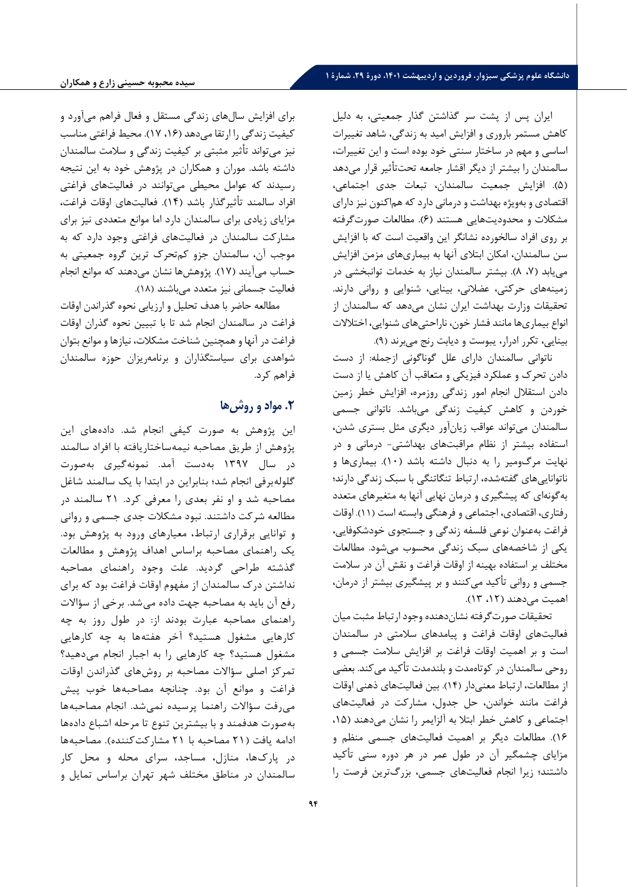ایران پس از پشت سر گذاشتن گذار جمعیتی، به دلیل کاهش مستمر باروري و افزایش امید به زندگی، شاهد تغییرات اساسی و مهم در ساختار سنتی خود بوده است و این تغییرات، سالمندان را بیشتر از دیگر اقشار جامعه تحتتأثیر قرار می دهد (5). افزایش جمعیت سالمندان، تبعات جدي اجتماعی، اقتصادي و بهویژه بهداشت و درمانی دارد که هماکنون نیز داراي مشکلات و محدودیتهایی هستند (6). مطالعات صورتگرفته بر روي افراد سالخورده نشانگر این واقعیت است که با افزایش سن سالمندان، امکان ابتلاي آنها به بیماري هاي مزمن افزایش می یابد (،7 8). بیشتر سالمندان نیاز به خدمات توانبخشی در زمینه هاي حرکتی، عضلانی، بینایی، شنوایی و روانی دارند. تحقیقات وزارت بهداشت ایران نشان می دهد که سالمندان از انواع بیماري ها مانند فشار خون، ناراحتیهاي شنوایی، اختلالات بینایی، تکرر ادرار، یبوست و دیابت رنج می برند ( 9).

ناتوانی سالمندان داراي علل گوناگونی ازجمله: از دست دادن تحرك و عملکرد فیزیکی و متعاقب آن کاهش یا از دست دادن استقلال انجام امور زندگی روزمره، افزایش خطر زمین خوردن و کاهش کیفیت زندگی می باشد. ناتوانی جسمی سالمندان می تواند عواقب زیان آور دیگري مثل بستري شدن، استفاده بیشتر از نظام مراقبت هاي بهداشتی- درمانی و در نهایت مرگ ومیر را به دنبال داشته باشد (10). بیماري ها و ناتواناییهاي گفتهشده، ارتباط تنگاتنگی با سبک زندگی دارند؛ بهگونهای که پیشگیری و درمان نهایی آنها به متغیرهای متعدد رفتاري، اقتصادي، اجتماعی و فرهنگی وابسته است ( 11). اوقات فراغت بهعنوان نوعی فلسفه زندگی و جستجوي خودشکوفایی، یکی از شاخصههاي سبک زندگی محسوب می شود. مطالعات مختلف بر استفاده بهینه از اوقات فراغت و نقش آن در سلامت جسمی و روانی تأکید می کنند و بر پیشگیري بیشتر از درمان، اهمیت می دهند (،12 13).

تحقیقات صورتگرفته نشان دهنده وجود ارتباط مثبت میان فعالیت هاي اوقات فراغت و پیامدهاي سلامتی در سالمندان است و بر اهمیت اوقات فراغت بر افزایش سلامت جسمی و روحی سالمندان در کوتاهمدت و بلندمدت تأکید میکند. بعضی از مطالعات، ارتباط معنی دار ( 14). بین فعالیت هاي ذهنی اوقات فراغت مانند خواندن، حل جدول، مشارکت در فعالیت هاي اجتماعی و کاهش خطر ابتلا به آلزایمر را نشان می دهند (،15 16). مطالعات دیگر بر اهمیت فعالیت هاي جسمی منظم و مزایاي چشمگیر آن در طول عمر در هر دوره سنی تأکید داشتند؛ زیرا انجام فعالیت هاي جسمی، بزرگترین فرصت را

براي افزایش سالهاي زندگی مستقل و فعال فراهم می آورد و کیفیت زندگی را ارتقا میدهد (،16 17). محیط فراغتی مناسب نیز می تواند تأثیر مثبتی بر کیفیت زندگی و سلامت سالمندان داشته باشد. موران و همکاران در پژوهش خود به این نتیجه رسیدند که عوامل محیطی می توانند در فعالیت هاي فراغتی افراد سالمند تأثیرگذار باشد (14). فعالیت هاي اوقات فراغت، مزایاي زیادي براي سالمندان دارد اما موانع متعددي نیز براي مشارکت سالمندان در فعالیت هاي فراغتی وجود دارد که به موجب آن، سالمندان جزو کمتحرك ترین گروه جمعیتی به حساب میآیند ( 17). پژوهش ها نشان میدهند که موانع انجام فعالیت جسمانی نیز متعدد می باشند ( 18).

مطالعه حاضر با هدف تحلیل و ارزیابی نحوه گذراندن اوقات فراغت در سالمندان انجام شد تا با تبیین نحوه گذران اوقات فراغت در آنها و همچنین شناخت مشکلات، نیازها و موانع بتوان شواهدي براي سیاستگذاران و برنامه ریزان حوزه سالمندان فراهم کرد.

# **.2 مواد و روش ها**

این پژوهش به صورت کیفی انجام شد. داده هاي این پژوهش از طریق مصاحبه نیمه ساختاریافته با افراد سالمند در سال 1397 به دست آمد. نمونه گیري به صورت گلوله برفی انجام شد؛ بنابراین در ابتدا با یک سالمند شاغل مصاحبه شد و او نفر بعدي را معرفی کرد. 21 سالمند در مطالعه شرکت داشتند. نبود مشکلات جدي جسمی و روانی و توانایی برقراري ارتباط، معیارهاي ورود به پژوهش بود . یک راهنماي مصاحبه براساس اهداف پژوهش و مطالعات گذشته طراحی گردید. علت وجود راهنماي مصاح به نداشتن درك سالمندان از مفهوم اوقات فراغت بود که براي رفع آن باید به مصاحبه جهت داده می شد. برخی از سؤالات راهنماي مصاحبه عبارت بودند از: در طول روز به چه کارهایی مشغول هستید؟ آخر هفته ها به چه کارهایی مشغول هستید؟ چه کارهایی را به اجبار انجام می دهید؟ ت مرکز اصلی سؤالات مصاحبه بر روش هاي گذراندن اوقات فراغت و موانع آن بود. چنانچه مصاحبه ها خوب پیش می رفت سؤالات راهنما پرسیده نمی شد. انجام مصاحبه ها به صورت هدفمند و با بیشترین تنوع تا مرحله اشباع داده ها ادامه یافت ( 21 مصاحبه با 21 مشارکت کننده). مصاحبه ها در پارك ها، منازل، مساجد، سراي محله و محل کار سالمندان در مناطق مختلف شهر تهران براساس تمایل و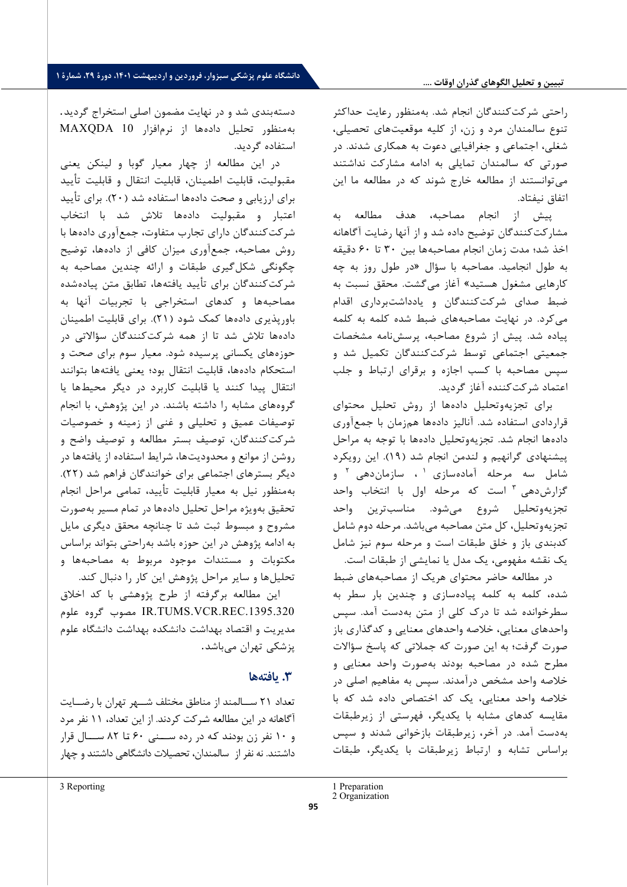### **تبیین و تحلیل الگوهاي گذران اوقات ....**

راحتی شرکت کنندگان انجام شد. به منظور رعایت حداکثر تنوع سالمندان مرد و زن، از کلیه موقعیت هاي تحصیلی، شغلی، اجتماعی و جغرافیایی دعوت به همکاري شدند. در صورتی که سالمندان تمایلی به ادامه مشارکت نداشتند می توانستند از مطالعه خارج شوند که در مطالعه ما این اتفاق نیفتاد.

پیش از انجام مصاحبه، هدف مطالعه به مشارکت کنندگان توضیح داده شد و از آنها رضایت آگاهانه اخذ شد؛ مدت زمان انجام مصاحبه ها بین 30 تا 60 دقیقه به طول انجامید. مصاحبه با سؤال «در طول روز به چه کارهایی مشغول هستید» آغاز می گشت. محقق نسبت به ضبط صداي شرکت کنندگان و یادداشت برداري اقدام می کرد. در نهایت مصاحبه هاي ضبط شده کلمه به کلمه پیاده شد. پیش از شروع مصاحبه، پرسش نامه مشخصات جمعیتی اجتماعی توسط شرکت کنندگان تکمیل شد و سپس مصاحبه با کسب اجازه و برقراي ارتباط و جلب اعتماد شرکت کننده آغاز گردید.

براي تجزیه وتحلیل داده ها از روش تحلیل محتواي قراردادي استفاده شد. آنالیز داده ها هم زمان با جمع آوري داده ها انجام شد . تجزیه وتحلیل داده ها با توجه به مراحل پیشنهادي گرانهیم و لندمن انجام شد ( 19) . این رویکرد شامل سه مرحله آمادهسازی ۱ ، سازماندهی <sup>۲</sup> و گزارش دهی ۳ است که مرحله اول با انتخاب واحد تجزیه وتحلیل شروع می شود. مناسب ترین واحد تجزیه وتحلیل، کل متن مصاحبه می باشد. مرحله دوم شامل کدبندي باز و خلق طبقات است و مرحله سوم نیز شامل یک نقشه مفهومی، یک مدل یا نمایشی از طبقات است.

در مطالعه حاضر محتواي هریک از مصاحبه هاي ضبط شده، کلمه به کلمه پیاده سازي و چندین بار سطر به سطرخوانده شد تا درك کلی از متن به دست آمد. سپس واحدهای معنایی، خلاصه واحدهای معنایی و کدگذاری باز صورت گرفت؛ به این صورت که جملاتی که پاسخ سؤالات مطرح شده در مصاحبه بودند به صورت واحد معنایی و خلاصه واحد مشخص درآمدند. سپس به مفاهیم اصلی در خلاصه واحد معنایی، یک کد اختصاص داده شد که با مقایسه کدهاي مشابه با یکدیگر، فهرستی از زیرطبقات به دست آمد. در آخر، زیرطبقات بازخوانی شدند و سپس براساس تشابه و ارتباط زیرطبقات با یکدیگر، طبقات

1 Preparation

دسته بندي شد و در نهایت مضمون اصلی استخراج گردید . به منظور تحلیل داده ها از نرم افزار 10 MAXQDA استفاده گردید.

در این مطالعه از چهار معیار گوبا و لینکن یعنی مقبولیت، قابلیت اطمینان، قابلیت انتقال و قابلیت تأیید براي ارزیابی و صحت داده ها استفاده شد ( 20) . براي تأیید اعتبار و مقبولیت داده ها تلاش شد با انتخاب شرکت کنندگان داراي تجارب متفاوت، جمع آوري داده ها با روش مصاحبه، جمع آوري میزان کافی از داده ها، توضیح چگونگی شکل گیري طبقات و ارائه چندین مصاحبه به شرکت کنندگان براي تأیید یافته ها، تطابق متن پیاده شده مصاحبه ها و کدهاي استخراجی با تجربیات آنها به باورپذیري داده ها کمک شود ( 21) . براي قابلیت اطمینان داده ها تلاش شد تا از همه شرکت کنندگان سؤالاتی در حوزه هاي یکسانی پرسیده شود . معیار سوم براي صحت و استحکام داده ها، قابلیت انتقال بود؛ یعنی یافته ها بتوانند انتقال پیدا کنند یا قابلیت کاربرد در دیگر محیط ها یا گروه هاي مشابه را داشته باشند. در این پژوهش، با انجام توصیفات عمیق و تحلیلی و غنی از زمینه و خصوصیات شرکت کنندگان، توصیف بستر مطالعه و توصیف واضح و روشن از موانع و محدودیت ها، شرایط استفاده از یافته ها در دیگر بسترهاي اجتماعی براي خوانندگان فراهم شد ( 22) . به منظور نیل به معیار قابلیت تأیید، تمامی مراحل انجام تحقیق بهویژه مراحل تحلیل دادهها در تمام مسیر به صورت مشروح و مبسوط ثبت شد تا چنانچه محقق دیگري مایل به ادامه پژوهش در این حوزه باشد به راحتی بتواند براساس مکتوبات و مستندات موجود مربوط به مصاحبه ها و تحلیل ها و سایر مراحل پژوهش این کار را دنبال کند.

این مطالعه برگر فته از طرح پژوهشی با کد اخلاق علوم گروه مصوب IR.TUMS.VCR.REC.1395.320 مدیریت و اقتصاد بهداشت دانشکده بهداشت دانشگاه علوم پزشکی تهران می باشد .

# **.3 یافته ها**

تعداد 21 ســالمند از مناطق مختلف شــهر تهران با رضــایت آگاهانه در این مطالعه شـرکت کردند. از این تعداد، 11 نفر مرد و 10 نفر زن بودنـد کـه در رده ســـنی 60 تـا 82 ســـال قرار داشتند. نه نفر از سالمندان، تحصیلات دانشگاهی داشتند و چهار

<span id="page-7-1"></span><span id="page-7-0"></span>3 Reporting

<sup>2</sup> Organization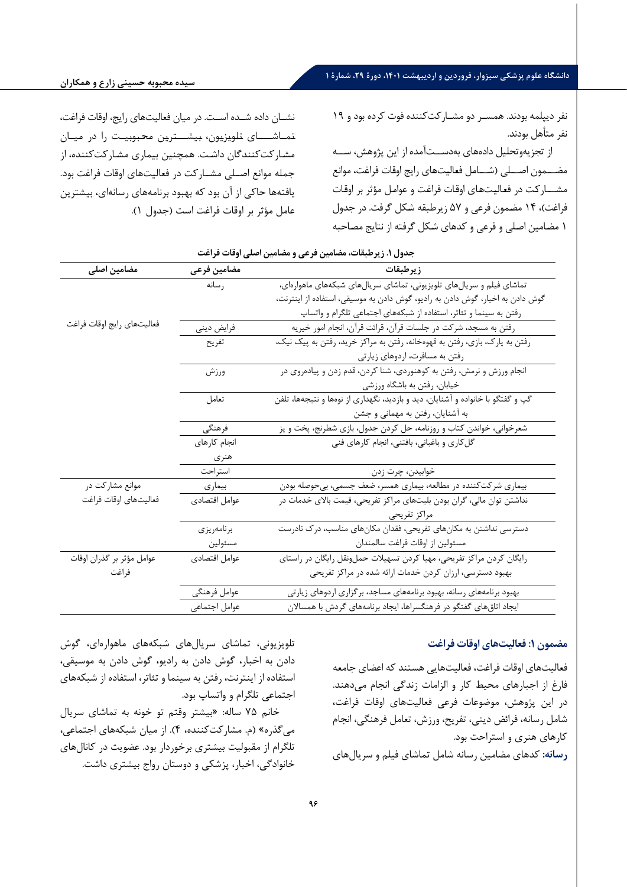**دانشگاه علوم پزشکی سبزوار، فروردین و اردیبهشت ،1401 دورة ،29 شمارة 1**

نفر د یپلمه بودند. همسـر دو مشـارکت کننده فوت کرده بود و 19 نفر متأهل بودند.

از تجزیهوتحلیل دادههای بهدســتآمده از این پژوهش، ســه مضـــمون اصـــلي (شــــامل فعاليتهاي رايج اوقات فراغت، موانع مشــــارکت در فعاليتهاى اوقات فراغت و عوامل مؤثر بر اوقات فراغت)، ۱۴ مضمون فرعی و ۵۷ زیرطبقه شکل گرفت. در جدول 1 مضـام ین اصـل ی و فرع ی و کدها ي شـکل گرفته از نتایج مصـاحبه

نشــان داده شــده اســت. در ميان فعاليتهاي رايج، اوقات فراغت، تـمـاشــــاي تـلـویـزیـون، بـیشـــتـریـن مـحـبـوبـیـت را در مـیـان مشـارکتکنندگان داشـت. همچنین بیماري مشـارکتکننده، از جمله موانع اصــلی مشــارکت در فعالیتهاي اوقات فراغت بود. یافتهها حاکی از آن بود که بهبود برنامههاي رسانهاي، بیشترین عامل مؤثر بر اوقات فراغت است (جدول 1).

| مضامین اصلی                | مضامين فرعى   | زيرطبقات                                                                        |
|----------------------------|---------------|---------------------------------------------------------------------------------|
|                            | ر سانه        | تماشای فیلم و سریالهای تلویزیونی، تماشای سریالهای شبکههای ماهوارهای،            |
|                            |               | گوش دادن به اخبار، گوش دادن به رادیو، گوش دادن به موسیقی، استفاده از اینترنت،   |
|                            |               | رفتن به سینما و تئاتر، استفاده از شبکههای اجتماعی تلگرام و واتساپ               |
| فعاليتهاى رايج اوقات فراغت | فرايض ديني    | رفتن به مسجد، شرکت در جلسات قرآن، قرائت قرآن، انجام امور خیریه                  |
|                            | تفريح         | رفتن به پارک، بازی، رفتن به قهوهخانه، رفتن به مراکز خرید، رفتن به پیک نیک،      |
|                            |               | رفتن به مسافرت، اردوهای زیارتی                                                  |
|                            | ورزش          | انجام ورزش و نرمش، رفتن به کوهنوردی، شنا کردن، قدم زدن و پیادهروی در            |
|                            |               | خیابان، رفتن به باشگاه ورزشی                                                    |
|                            | تعامل         | گپ و گفتگو با خانواده و آشنایان، دید و بازدید، نگهداری از نوهها و نتیجهها، تلفن |
|                            |               | به آشنایان، رفتن به مهمانی و جشن                                                |
|                            | فرهنگى        | شعرخوانی، خواندن کتاب و روزنامه، حل کردن جدول، بازی شطرنج، پخت و پز             |
|                            | انجام كارهاى  | گل کاری و باغبانی، بافتنی، انجام کارهای فنی                                     |
|                            | هنري          |                                                                                 |
|                            | استراحت       | خوابيدن، چرت زدن                                                                |
| موانع مشارکت در            | بيمارى        | بیماری شرکتکننده در مطالعه، بیماری همسر، ضعف جسمی، بیحوصله بودن                 |
| فعاليتهاى اوقات فراغت      | عوامل اقتصادى | نداشتن توان مالی، گران بودن بلیتهای مراکز تفریحی، قیمت بالای خدمات در           |
|                            |               | مراكز تفريحي                                                                    |
|                            | برنامەريزى    | دسترسی نداشتن به مکانهای تفریحی، فقدان مکانهای مناسب، درک نادرست                |
|                            | مسئولين       | مسئولين از اوقات فراغت سالمندان                                                 |
| عوامل مؤثر بر گذران اوقات  | عوامل اقتصادى | رایگان کردن مراکز تفریحی، مهیا کردن تسهیلات حملونقل رایگان در راستای            |
| فراغت                      |               | بهبود دسترسی، ارزان کردن خدمات ارائه شده در مراکز تفریحی                        |
|                            | عوامل فرهنگى  | بهبود برنامههای رسانه، بهبود برنامههای مساجد، برگزاری اردوهای زیارتی            |
|                            | عوامل اجتماعي | ایجاد اتاق های گفتگو در فرهنگسراها، ایجاد برنامههای گردش با همسالان             |

**جدول .1 زیرطبقات، مضامین فرعی و مضامین اصلی اوقات فراغت** 

## **مضمون :1 فعالیت هاي اوقات فراغت**

فعالیت هاي اوقات فراغت، فعالیتهایی هستند که اعضاي جامعه فارغ از اجبارهاي محیط کار و الزامات زندگی انجام می دهند. در این پژوهش، موضوعات فرعی فعالیتهاي اوقات فراغت، شامل رسانه، فرائض دینی، تفریح، ورزش، تعامل فرهنگی، انجام کارهاي هنري و استراحت بود.

**رسانه :** کدهاي مضامین رسانه شامل تماشاي فیلم و سریالهاي

تلویز یونی، تماشاي سریالهاي شبکه هاي ماهوارهاي ، گوش دادن به اخبار، گوش دادن به رادیو، گوش دادن به موسیقی، استفاده از اینترنت، رفتن به س ینما و تئاتر، استفاده از شبکه هاي اجتماعی تلگرام و واتساپ بود.

خانم 75 ساله: «بیشتر وقتم تو خونه به تماشاي سریال می گذره» (م. مشارکت کننده، 4). از میان شبکه هاي اجتماعی، تلگرام از مقبولیت بیشتري برخوردار بود. عضویت در کانال هاي خانوادگی، اخبار، پزشکی و دوستان رواج بیشتري داشت.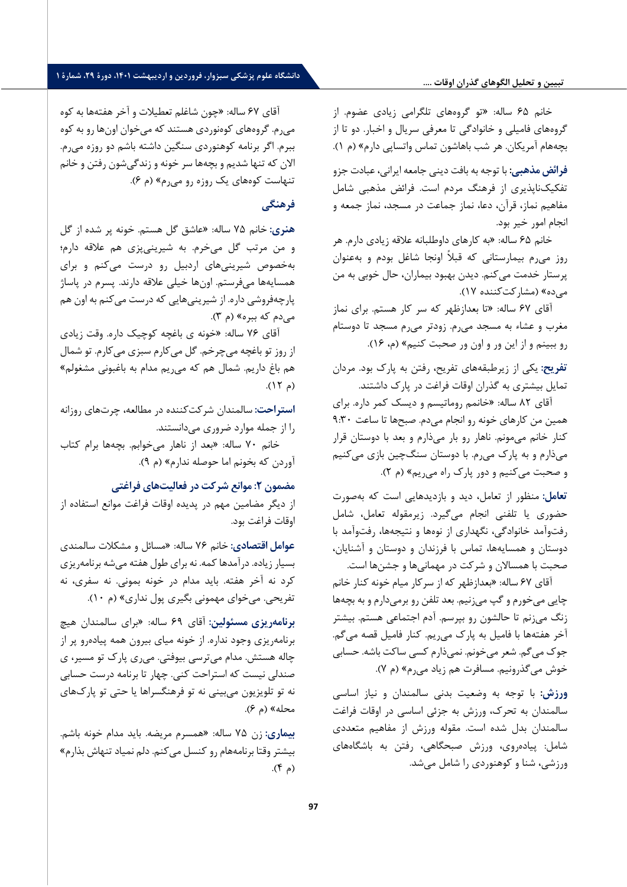#### **تبیین و تحلیل الگوهاي گذران اوقات ....**

خانم 65 ساله: «تو گروههاي تلگرامی زیادي عضوم. از گروههاي فامیلی و خانوادگی تا معرفی سریال و اخبار. دو تا از بچههام آمریکان. هر شب باهاشون تماس واتساپی دارم» (م 1).

**فرائض مذهبی :** با توجه به بافت دینی جامعه ایرانی، عبادت جزو تفکیکناپذیري از فرهنگ مردم است. فرائض مذهبی شامل مفاهیم نماز، قرآن، دعا، نماز جماعت در مسجد، نماز جمعه و انجام امور خیر بود.

خانم 65 ساله: «به کارهاي داوطلبانه علاقه زیادي دارم. هر روز میرم بیمارستانی که قبلاً اونجا شاغل بودم و بهعنوان پرستار خدمت میکنم. دیدن بهبود بیماران، حال خوبی به من می ده» (مشارکتکننده 17).

آقاي 67 ساله: «تا بعدازظهر که سر کار هستم. براي نماز مغرب و عشاء به مسجد می رم. زودتر میرم مسجد تا دوستام رو ببینم و از این ور و اون ور صحبت کنیم» (م، 16).

**تفریح :** یکی از زیرطبقههاي تفریح، رفتن به پارك بود. مردان تمایل بیشتري به گذران اوقات فراغت در پارك داشتند.

آقاي 82 ساله: «خانمم روماتیسم و دیسک کمر داره. براي همین من کارهاي خونه رو انجام می دم. صبح ها تا ساعت 9:30 کنار خانم می مونم. ناهار رو بار میذارم و بعد با دوستان قرار می ذارم و به پارك می رم. با دوستان سنگچین بازي میکنیم و صحبت می کنیم و دور پارك راه می ریم» (م 2).

**تعامل :** منظور از تعامل، دید و بازدیدهایی است که به صورت حضوري یا تلفنی انجام می گیرد. زیرمقوله تعامل، شامل رفتوآمد خانوادگی، نگهداري از نوه ها و نتیجه ها، رفت وآمد با دوستان و همسایهها، تماس با فرزندان و دوستان و آشنایان، صحبت با همسالان و شرکت در مهمانی ها و جشنها است.

آقاي 67 ساله: «بعدازظهر که از سرکار میام خونه کنار خانم چایی میخورم و گپ می زنیم. بعد تلفن رو برمیدارم و به بچهها زنگ می زنم تا حالشون رو بپرسم. آدم اجتماعی هستم. بیشتر آخر هفتهها با فامیل به پارك میریم. کنار فامیل قصه می گم. جوك می گم. شعر می خونم. نمی ذارم کسی ساکت باشه. حسابی خوش میگذرونیم. مسافرت هم ز یاد میرم» (م 7).

**ورزش :** با توجه به وضعیت بدنی سالمندان و نیاز اساسی سالمندان به تحرك، ورزش به جزئی اساسی در اوقات فراغت سالمندان بدل شده است. مقوله ورزش از مفاهیم متعددي شامل: پیاده روي، ورزش صبحگاهی، رفتن به باشگاه هاي ورزشی، شنا و کوهنوردي را شامل می شد.

آقاي 67 ساله: «چون شاغلم تعطیلات و آخر هفته ها به کوه می رم. گروههاي کوه نوردي هستند که می خوان اونها رو به کوه ببرم. اگر برنامه کوهنوردي سنگین داشته باشم دو روزه میرم. الان که تنها شدیم و بچهها سر خونه و زندگی شون رفتن و خانم تنهاست کوه هاي یک روزه رو میرم» (م 6).

# **فرهنگی**

**هنري :** خانم 75 ساله: «عاشق گل هستم. خونه پر شده از گل و من مرتب گل میخرم. به شیرینی پزي هم علاقه دارم؛ بهخصوص شیرینی هاي اردبیل رو درست می کنم و براي همسایهها میفرستم. اونها خیلی علاقه دارند. پسرم در پاساژ پارچهفروشی داره. از شیرینی هایی که درست می کنم به اون هم می دم که ببره» (م 3).

آقاي 76 ساله: «خونه ي باغچه کوچیک داره. وقت زیادي از روز تو باغچه میچرخم. گل می کارم سبزي می کارم. تو شمال هم باغ داریم. شمال هم که می ریم مدام به باغبونی مشغولم»  $(15)$ 

**استراحت :** سالمندان شرکتکن نده در مطالعه، چرتهاي روزانه را از جمله موارد ضروري میدانستند.

خانم 70 ساله: «بعد از ناهار میخوابم. بچه ها برام کتاب آوردن که بخونم اما حوصله ندارم» (م 9).

# **مضمون :2 موانع شرکت در فعالیت هاي فراغتی**

از دیگر مضامین مهم در پدیده اوقات فراغت موانع استفاده از اوقات فراغت بود.

**عوامل اقتصادي :** خانم 76 ساله: «مسائل و مشکلات سالمندي بسیار زیاده. درآمدها کمه. نه براي طول هفته می شه برنامه ریزي کرد نه آخر هفته. باید مدام در خونه بمونی. نه سفري، نه تفریحی. می خواي مهمونی بگیري پول نداري» ( م 10).

**برنامه ریزي مسئولین :** آقاي 69 ساله: «براي سالمندان هیچ برنامه ریزی وجود نداره. از خونه میای بیرون همه پیاده رو پر از چاله هستش. مدام می ترسی بیوفتی. می ري پارك تو مسیر، ي صندلی نیست که استراحت کنی. چهار تا برنامه درست حسابی نه تو تلویزیون میبینی نه تو فرهنگسراها یا حتی تو پاركهاي محله» (م 6).

**بیماري :** زن 75 ساله: «همسرم مریضه. باید مدام خونه باشم. بیشتر وقتا برنامه هام رو کنسل می کنم. دلم نمیاد تنهاش بذارم»  $(A<sup>4</sup>)$ .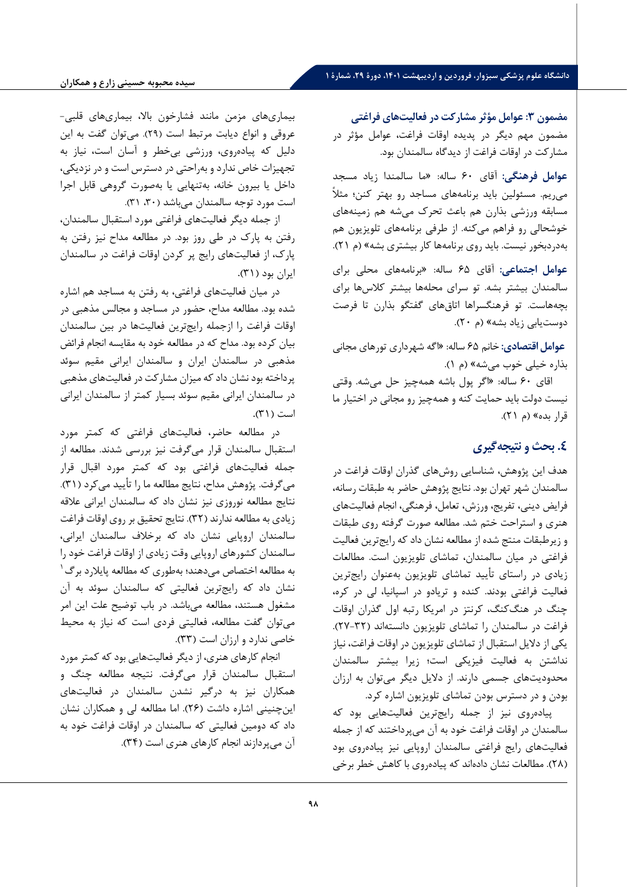# **دانشگاه علوم پزشکی سبزوار، فروردین و اردیبهشت ،1401 دورة ،29 شمارة 1**

**مضمون :3 عوامل مؤثر مشارکت در فعالیت هاي فراغتی**  مضمون مهم دیگر در پدیده اوقات فراغت، عوامل مؤثر در مشارکت در اوقات فراغت از دیدگاه سالمندان بود.

**عوامل فرهنگی :** آقاي 60 ساله: «ما سالمندا زیاد مسجد می ریم. مسئولین باید برنامه هاي مساجد رو بهتر کنن؛ مثلاً مسابقه ورزشی بذارن هم باعث تحرك میشه هم زمینه هاي خوشحالی رو فراهم می کنه. از طرفی برنامه هاي تلویزیون هم بهدردبخور نیست. باید روي برنامه ها کار بیشتري بشه» (م 21).

**عوامل اجتماعی :** آقاي 65 ساله: «برنامه هاي محلی براي سالمندان بیشتر بشه. تو سراي محلهها بیشتر کلاسها براي بچههاست. تو فرهنگسراها اتاقهاي گفتگو بذارن تا فرصت دوستیابی زیاد بشه» (م 20).

 **عوامل اقتصادي :** خانم 65 ساله: «اگه شهرداري تورهاي مجانی بذاره خیلی خوب میشه» (م 1).

اقاي 60 ساله: «اگر پول باشه همهچیز حل میشه. وقتی نیست دولت باید حمایت کنه و همهچیز رو مجانی در اختیار ما قرار بده» (م 21).

# **.4 بحث و نتیجه گیري**

هدف این پژوهش، شناسایی روشهاي گذران اوقات فراغت در سالمندان شهر تهران بود. نتایج پژوهش حاضر به طبقات رسانه، فرایض دینی، تفر یج، ورزش، تعامل، فرهنگی، انجام فعالیت هاي هنري و استراحت ختم شد. مطالعه صورت گرفته روي طبقات و زیرطبقات منتج شده از مطالعه نشان داد که رایجترین فعالیت فراغتی در میان سالمندان، تماشاي تلویزیون است. مطالعات زیادي در راستاي تأیید تماشاي تلویزیون بهعنوان رایجترین فعالیت فراغتی بودند. کنده و تریادو در اسپانیا، لی در کره، چنگ در هنگکنگ، کرنتز در امریکا رتبه اول گذران اوقات فراغت در سالمندان را تماشاي تلویزیون دانستهاند (27-32). یکی از دلایل استقبال از تماشاي تلویزیون در اوقات فراغت، نیاز نداشتن به فعالیت فیزیکی است؛ زیرا بیشتر سالمندان محدودیتهاي جسمی دارند. از دلایل دیگر میتوان به ارزان بودن و در دسترس بودن تماشاي تلویزیون اشاره کرد.

پیاده روي نیز از جمله رایجترین فعالیت هایی بود که سالمندان در اوقات فراغت خود به آن میپرداختند که از جمله فعالیتهای رایج فراغتی سالمندان اروپایی نیز پیادهروی بود (28). مطالعات نشان دادهاند که پیاده روي با کاهش خطر برخی

بیماري هاي مزمن مانند فشارخون بالا، بیماري هاي قلبی- عروقی و انواع دیابت مرتبط است ( 29). میتوان گفت به این دلیل که پیاده روي، ورزشی بیخطر و آسان است، نیاز به تجهیزات خاص ندارد و بهراحتی در دسترس است و در نزدیکی، داخل یا بیرون خانه، به تنهایی یا بهصورت گروهی قابل اجرا است مورد توجه سالمندان می باشد ( ،30 31).

از جمله دیگر فعالیت هاي فراغتی مورد استقبال سالمندان، رفتن به پارك در طی روز بود. در مطالعه مداح نیز رفتن به پارك، از فعالیتهاي رایج پر کردن اوقات فراغت در سالمندان ایران بود (31).

در میان فعالیت هاي فراغتی، به رفتن به مساجد هم اشاره شده بود. مطالعه مداح، حضور در مساجد و مجالس مذهبی در اوقات فراغت را ازجمله رایجترین فعالیت ها در بین سالمندان بیان کرده بود. مداح که در مطالعه خود به مقایسه انجام فرائض مذهبی در سالمندان ایران و سالمندان ایرانی مقیم سوئد پرداخته بود نشان داد که میزان مشارکت در فعالیتهاي مذهبی در سالمندان ایرانی مقیم سوئد بسیار کمتر از سالمندان ایرانی است (31).

در مطالعه حاضر، فعالیت هاي فراغتی که کمتر مورد استقبال سالمندان قرار می گرفت نیز بررسی شدند. مطالعه از جمله فعالیتهاي فراغتی بود که کمتر مورد اقبال قرار می گرفت. پژوهش مداح، نتایج مطالعه ما را تأیید می کرد (31). نتایج مطالعه نوروزي نیز نشان داد که سالمندان ایرانی علاقه زیادي به مطالعه ندارند (32). نتایج تحقیق بر روي اوقات فراغت سالمندان اروپایی نشان داد که برخلاف سالمندان ایرانی، سالمندان کشورهاي اروپایی وقت زیادي از اوقات فراغت خود را [1](#page-10-0) به مطالعه اختصاص می دهند؛ به طوري که مطالعه پایلارد برگ نشان داد که رایجترین فعالیتی که سالمندان سوئد به آن مشغول هستند، مطالعه می باشد. در باب توضیح علت این امر می توان گفت مطالعه، فعالیتی فردي است که نیاز به محیط خاصی ندارد و ارزان است (33).

<span id="page-10-0"></span>انجام کارهاي هنري، از دیگر فعالیتهایی بود که کمتر مورد استقبال سالمندان قرار میگرفت. نتیجه مطالعه چنگ و همکاران نیز به درگیر نشدن سالمندان در فعالیت هاي اینچنینی اشاره داشت (26). اما مطالعه لی و همکاران نشان داد که دومین فعالیتی که سالمندان در اوقات فراغت خود به آن میپردازند انجام کارهاي هنري است (34).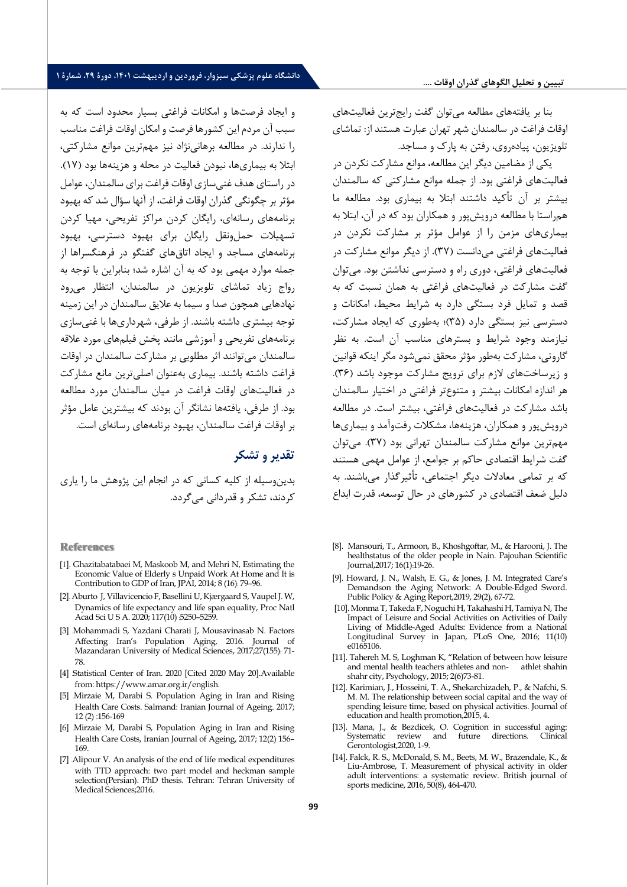بنا بر یافته هاي مطالعه می توان گفت رایجترین فعالیت هاي اوقات فراغت در سالمندان شهر تهران عبارت هستند از: تماشاي تلویزیون، پیادهروي، رفتن به پارك و مساجد.

یکی از مضامین دیگر این مطالعه، موانع مشارکت نکردن در فعالیت هاي فراغتی بود. از جمله موانع مشارکتی که سالمندان بیشتر بر آن تأکید داشتند ابتلا به بیماري بود. مطالعه ما همراستا با مطالعه درویشپور و همکاران بود که در آن، ابتلا به بیماري هاي مزمن را از عوامل مؤثر بر مشارکت نکردن در فعالیت هاي فراغتی می دانست (37). از دیگر موانع مشارکت در فعالیت هاي فراغتی، دوري راه و دسترسی نداشتن بود. می توان گفت مشارکت در فعالیت هاي فراغتی به همان نسبت که به قصد و تمایل فرد بستگی دارد به شرایط محیط، امکانات و دسترسی نیز بستگی دارد (35)؛ به طوري که ایجاد مشارکت، نیازمند وجود شرایط و بسترهاي مناسب آن است. به نظر گاروتی، مشارکت به طور مؤثر محقق نمی شود مگر اینکه قوانین و زیرساختهاي لازم براي ترویج مشارکت موجود باشد (36). هر اندازه امکانات بیشتر و متنوع تر فراغتی در اختیار سالمندان باشد مشارکت در فعالیت هاي فراغتی، بیشتر است. در مطالعه درویشپور و همکاران، هزینهها، مشکلات رفتوآمد و بیماري ها مهم ترین موانع مشارکت سالمندان تهرانی بود (37). می توان گفت شرایط اقتصادي حاکم بر جوامع، از عوامل مهمی هستند که بر تمامی معادلات دیگر اجتماعی، تأثیرگذار میباشند. به دلیل ضعف اقتصادي در کشورهاي در حال توسعه، قدرت ابداع

- [8]. Mansouri, T., Armoon, B., Khoshgoftar, M., & Harooni, J. The healthstatus of the older people in Nain. Pajouhan Scientific Journal,2017; 16(1) :19-26.
- [9]. Howard, J. N., Walsh, E. G., & Jones, J. M. Integrated Care's Demandson the Aging Network: A Double-Edged Sword. Public Policy & Aging Report,2019, 29(2), 67-72.
- [10]. Monma T, Takeda F, Noguchi H, Takahashi H, Tamiya N, The Impact of Leisure and Social Activities on Activities of Daily Living of Middle-Aged Adults: Evidence from a National Longitudinal Survey in Japan, PLoS One, 2016; 11(10) e0165106.
- [11]. Tahereh M. S, Loghman K, ["Relation of between how leisure](http://fmss.journals.pnu.ac.ir/article_1736.html?lang=en)  [and mental health teachers athletes and non- athlet shahin](http://fmss.journals.pnu.ac.ir/article_1736.html?lang=en)  [shahr city,](http://fmss.journals.pnu.ac.ir/article_1736.html?lang=en) Psychology, 2015; 2(6)73-81.
- [12]. Karimian, J., Hosseini, T. A., Shekarchizadeh, P., & Nafchi, S. M. M. The relationship between social capital and the way of spending leisure time, based on physical activities. Journal of education and health promotion,2015, 4.
- [13]. Mana, J., & Bezdicek, O. Cognition in successful aging: Systematic review and Gerontologist,2020, 1-9.
- [14]. Falck, R. S., McDonald, S. M., Beets, M. W., Brazendale, K., & Liu-Ambrose, T. Measurement of physical activity in older adult interventions: a systematic review. British journal of sports medicine, 2016, 50(8), 464-470.

و ایجاد فرصتها و امکانات فراغتی بسیار محدود است که به سبب آن مردم این کشورها فرصت و امکان اوقات فراغت مناسب را ندارند. در مطالعه برهانی نژاد نیز مهم ترین موانع مشارکتی، ابتلا به بیماري ها، نبودن فعالیت در محله و هزینهها بود (17). در راستاي هدف غنی سازي اوقات فراغت براي سالمندان، عوامل مؤثر بر چگونگی گذران اوقات فراغت، از آنها سؤال شد که بهبود برنامه هاي رسانه اي، رایگان کردن مراکز تفریحی، مهیا کردن تسهیلات حملونقل رایگان براي بهبود دسترسی، بهبود برنامه هاي مساجد و ایجاد اتاقهاي گفتگو در فرهنگسراها از جمله موارد مهمی بود که به آن اشاره شد؛ بنابراین با توجه به رواج زیاد تماشاي تلویزیون در سالمندان، انتظار می رود نهادهایی همچون صدا و سیما به علایق سالمندان در این زمینه توجه بیشتري داشته باشند. از طرفی، شهرداري ها با غنی سازي برنامه هاي تفریحی و آموزشی مانند پخش فیلم هاي مورد علاقه سالمندان می توانند اثر مطلوبی بر مشارکت سالمندان در اوقات فراغت داشته باشند. بیماري به عنوان اصلیترین مانع مشارکت در فعالیتهاي اوقات فراغت در میان سالمندان مورد مطالعه بود. از طرفی، یافتهها نشانگر آن بودند که بیشترین عامل مؤثر بر اوقات فراغت سالمندان، بهبود برنامه هاي رسانه اي است.

# **تقدیر و تشکر**

بدین وسیله از کلیه کسانی که در انجام این پژوهش ما را یاري کردند، تشکر و قدردانی می گردد.

**References**

- [1]. Ghazitabatabaei M, Maskoob M, and Mehri N, Estimating the Economic Value of Elderly s Unpaid Work At Home and It is Contribution to GDP of Iran, JPAI, 2014; 8 (16) : 79–96.
- [2] . Aburto [J,](https://www.ncbi.nlm.nih.gov/pubmed/?term=Aburto%20JM%5BAuthor%5D&cauthor=true&cauthor_uid=32094193) Villavicenci[o F,](https://www.ncbi.nlm.nih.gov/pubmed/?term=Villavicencio%20F%5BAuthor%5D&cauthor=true&cauthor_uid=32094193) Basellini [U,](https://www.ncbi.nlm.nih.gov/pubmed/?term=Basellini%20U%5BAuthor%5D&cauthor=true&cauthor_uid=32094193) Kjærgaard [S,](https://www.ncbi.nlm.nih.gov/pubmed/?term=Kj%26%23x000e6%3Brgaard%20S%5BAuthor%5D&cauthor=true&cauthor_uid=32094193) Vaupe[l J. W,](https://www.ncbi.nlm.nih.gov/pubmed/?term=Vaupel%20JW%5BAuthor%5D&cauthor=true&cauthor_uid=32094193)  Dynamics of life expectancy and life span equality[, Proc Natl](https://www.ncbi.nlm.nih.gov/pmc/articles/PMC7071894/)  [Acad Sci U S A.](https://www.ncbi.nlm.nih.gov/pmc/articles/PMC7071894/) 2020; 117(10) :5250-5259.
- [3] .Mohammadi S, Yazdani Charati J, Mousavinasab N. Factors Affecting Iran's Population Aging, 2016. Journal of Mazandaran University of Medical Sciences, 2017;27(155) : 71- 78.
- [4] Statistical Center of Iran. 2020 [Cited 2020 May 20].Available from: https://www.amar.org.ir/english.
- [5] .Mirzaie M, Darabi S. Population Aging in Iran and Rising Health Care Costs. Salmand: Iranian Journal of Ageing. 2017; 12 (2) :156-169
- [6] .Mirzaie M, Darabi S, Population Aging in Iran and Rising Health Care Costs, Iranian Journal of Ageing, 2017; 12(2) 156– 169.
- [7] .Alipour V. An analysis of the end of life medical expenditures with TTD approach: two part model and heckman sample selection(Persian). PhD thesis. Tehran: Tehran University of Medical Sciences; 2016.